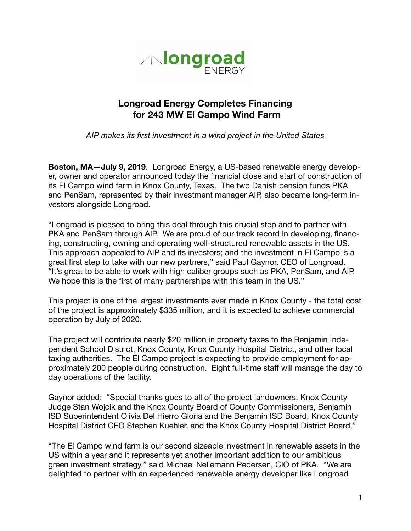

# **Longroad Energy Completes Financing for 243 MW El Campo Wind Farm**

*AIP makes its first investment in a wind project in the United States*

**Boston, MA—July 9, 2019**. Longroad Energy, a US-based renewable energy developer, owner and operator announced today the financial close and start of construction of its El Campo wind farm in Knox County, Texas. The two Danish pension funds PKA and PenSam, represented by their investment manager AIP, also became long-term investors alongside Longroad.

"Longroad is pleased to bring this deal through this crucial step and to partner with PKA and PenSam through AIP. We are proud of our track record in developing, financing, constructing, owning and operating well-structured renewable assets in the US. This approach appealed to AIP and its investors; and the investment in El Campo is a great first step to take with our new partners," said Paul Gaynor, CEO of Longroad. "It's great to be able to work with high caliber groups such as PKA, PenSam, and AIP. We hope this is the first of many partnerships with this team in the US."

This project is one of the largest investments ever made in Knox County - the total cost of the project is approximately \$335 million, and it is expected to achieve commercial operation by July of 2020.

The project will contribute nearly \$20 million in property taxes to the Benjamin Independent School District, Knox County, Knox County Hospital District, and other local taxing authorities. The El Campo project is expecting to provide employment for approximately 200 people during construction. Eight full-time staff will manage the day to day operations of the facility.

Gaynor added: "Special thanks goes to all of the project landowners, Knox County Judge Stan Wojcik and the Knox County Board of County Commissioners, Benjamin ISD Superintendent Olivia Del Hierro Gloria and the Benjamin ISD Board, Knox County Hospital District CEO Stephen Kuehler, and the Knox County Hospital District Board."

"The El Campo wind farm is our second sizeable investment in renewable assets in the US within a year and it represents yet another important addition to our ambitious green investment strategy," said Michael Nellemann Pedersen, CIO of PKA. "We are delighted to partner with an experienced renewable energy developer like Longroad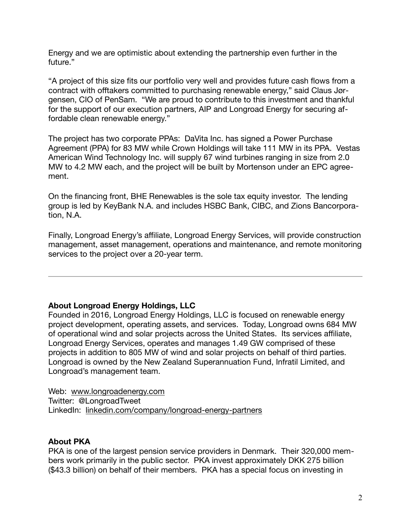Energy and we are optimistic about extending the partnership even further in the future."

"A project of this size fits our portfolio very well and provides future cash flows from a contract with offtakers committed to purchasing renewable energy," said Claus Jørgensen, CIO of PenSam. "We are proud to contribute to this investment and thankful for the support of our execution partners, AIP and Longroad Energy for securing affordable clean renewable energy."

The project has two corporate PPAs: DaVita Inc. has signed a Power Purchase Agreement (PPA) for 83 MW while Crown Holdings will take 111 MW in its PPA. Vestas American Wind Technology Inc. will supply 67 wind turbines ranging in size from 2.0 MW to 4.2 MW each, and the project will be built by Mortenson under an EPC agreement.

On the financing front, BHE Renewables is the sole tax equity investor. The lending group is led by KeyBank N.A. and includes HSBC Bank, CIBC, and Zions Bancorporation, N.A.

Finally, Longroad Energy's affiliate, Longroad Energy Services, will provide construction management, asset management, operations and maintenance, and remote monitoring services to the project over a 20-year term.

# **About Longroad Energy Holdings, LLC**

Founded in 2016, Longroad Energy Holdings, LLC is focused on renewable energy project development, operating assets, and services. Today, Longroad owns 684 MW of operational wind and solar projects across the United States. Its services affiliate, Longroad Energy Services, operates and manages 1.49 GW comprised of these projects in addition to 805 MW of wind and solar projects on behalf of third parties. Longroad is owned by the New Zealand Superannuation Fund, Infratil Limited, and Longroad's management team.

Web: www.[longroadenergy.com](http://www.longroadenergy.com) Twitter: @LongroadTweet LinkedIn: [linkedin.com/company/longroad-energy-partners](http://www.linkedin.com/company/longroad-energy-partners/)

#### **About PKA**

PKA is one of the largest pension service providers in Denmark. Their 320,000 members work primarily in the public sector. PKA invest approximately DKK 275 billion (\$43.3 billion) on behalf of their members. PKA has a special focus on investing in